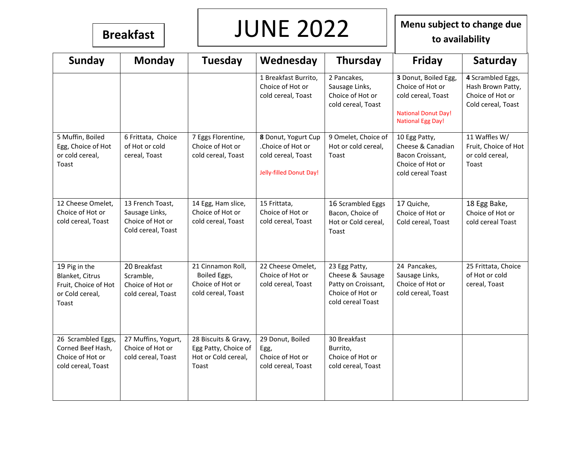# **Breakfast WINE 2022** Menu subject to change due<br>to availability

**to availability**

| <b>Sunday</b>                                                                        | <b>Monday</b>                                                                | <b>Tuesday</b>                                                               | Wednesday                                                                                 | Thursday                                                                                          | <b>Friday</b>                                                                                                            | Saturday                                                                         |
|--------------------------------------------------------------------------------------|------------------------------------------------------------------------------|------------------------------------------------------------------------------|-------------------------------------------------------------------------------------------|---------------------------------------------------------------------------------------------------|--------------------------------------------------------------------------------------------------------------------------|----------------------------------------------------------------------------------|
|                                                                                      |                                                                              |                                                                              | 1 Breakfast Burrito,<br>Choice of Hot or<br>cold cereal, Toast                            | 2 Pancakes,<br>Sausage Links,<br>Choice of Hot or<br>cold cereal, Toast                           | 3 Donut, Boiled Egg,<br>Choice of Hot or<br>cold cereal, Toast<br><b>National Donut Day!</b><br><b>National Egg Day!</b> | 4 Scrambled Eggs,<br>Hash Brown Patty,<br>Choice of Hot or<br>Cold cereal, Toast |
| 5 Muffin, Boiled<br>Egg, Choice of Hot<br>or cold cereal,<br>Toast                   | 6 Frittata, Choice<br>of Hot or cold<br>cereal, Toast                        | 7 Eggs Florentine,<br>Choice of Hot or<br>cold cereal, Toast                 | 8 Donut, Yogurt Cup<br>.Choice of Hot or<br>cold cereal, Toast<br>Jelly-filled Donut Day! | 9 Omelet, Choice of<br>Hot or cold cereal,<br>Toast                                               | 10 Egg Patty,<br>Cheese & Canadian<br>Bacon Croissant,<br>Choice of Hot or<br>cold cereal Toast                          | 11 Waffles W/<br>Fruit, Choice of Hot<br>or cold cereal,<br>Toast                |
| 12 Cheese Omelet,<br>Choice of Hot or<br>cold cereal, Toast                          | 13 French Toast,<br>Sausage Links,<br>Choice of Hot or<br>Cold cereal, Toast | 14 Egg, Ham slice,<br>Choice of Hot or<br>cold cereal, Toast                 | 15 Frittata,<br>Choice of Hot or<br>cold cereal, Toast                                    | 16 Scrambled Eggs<br>Bacon, Choice of<br>Hot or Cold cereal,<br>Toast                             | 17 Quiche,<br>Choice of Hot or<br>Cold cereal, Toast                                                                     | 18 Egg Bake,<br>Choice of Hot or<br>cold cereal Toast                            |
| 19 Pig in the<br>Blanket, Citrus<br>Fruit, Choice of Hot<br>or Cold cereal,<br>Toast | 20 Breakfast<br>Scramble,<br>Choice of Hot or<br>cold cereal, Toast          | 21 Cinnamon Roll,<br>Boiled Eggs,<br>Choice of Hot or<br>cold cereal, Toast  | 22 Cheese Omelet,<br>Choice of Hot or<br>cold cereal, Toast                               | 23 Egg Patty,<br>Cheese & Sausage<br>Patty on Croissant,<br>Choice of Hot or<br>cold cereal Toast | 24 Pancakes,<br>Sausage Links,<br>Choice of Hot or<br>cold cereal, Toast                                                 | 25 Frittata, Choice<br>of Hot or cold<br>cereal, Toast                           |
| 26 Scrambled Eggs,<br>Corned Beef Hash,<br>Choice of Hot or<br>cold cereal, Toast    | 27 Muffins, Yogurt,<br>Choice of Hot or<br>cold cereal, Toast                | 28 Biscuits & Gravy,<br>Egg Patty, Choice of<br>Hot or Cold cereal,<br>Toast | 29 Donut, Boiled<br>Egg,<br>Choice of Hot or<br>cold cereal, Toast                        | 30 Breakfast<br>Burrito,<br>Choice of Hot or<br>cold cereal, Toast                                |                                                                                                                          |                                                                                  |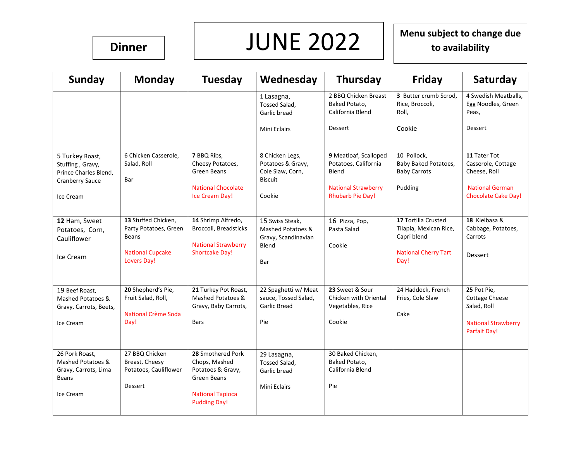$\begin{array}{c|c|c|c} \hline \text{Dinner} & & \text{JUNE } 2022 & & \text{Menu subject to change due to availability} \end{array}$ **to availability**

| <b>Sunday</b>          | <b>Monday</b>           | Tuesday                                             | Wednesday                                   | Thursday                                                  | <b>Friday</b>                                     | Saturday                                            |
|------------------------|-------------------------|-----------------------------------------------------|---------------------------------------------|-----------------------------------------------------------|---------------------------------------------------|-----------------------------------------------------|
|                        |                         |                                                     | 1 Lasagna,<br>Tossed Salad,<br>Garlic bread | 2 BBQ Chicken Breast<br>Baked Potato.<br>California Blend | 3 Butter crumb Scrod.<br>Rice, Broccoli,<br>Roll, | 4 Swedish Meatballs,<br>Egg Noodles, Green<br>Peas, |
|                        |                         |                                                     | Mini Eclairs                                | <b>Dessert</b>                                            | Cookie                                            | <b>Dessert</b>                                      |
| 5 Turkey Roast,        | 6 Chicken Casserole,    | 7 BBQ Ribs,                                         | 8 Chicken Legs,                             | 9 Meatloaf, Scalloped                                     | 10 Pollock,                                       | 11 Tater Tot                                        |
| Stuffing, Gravy,       | Salad, Roll             | Cheesy Potatoes,                                    | Potatoes & Gravy,                           | Potatoes, California                                      | Baby Baked Potatoes,                              | Casserole, Cottage                                  |
| Prince Charles Blend.  |                         | <b>Green Beans</b>                                  | Cole Slaw, Corn,                            | Blend                                                     | <b>Baby Carrots</b>                               | Cheese, Roll                                        |
| <b>Cranberry Sauce</b> | Bar                     | <b>National Chocolate</b>                           | <b>Biscuit</b>                              | <b>National Strawberry</b>                                |                                                   | <b>National German</b>                              |
|                        |                         | Ice Cream Day!                                      | Cookie                                      | <b>Rhubarb Pie Day!</b>                                   | Pudding                                           | <b>Chocolate Cake Day!</b>                          |
| Ice Cream              |                         |                                                     |                                             |                                                           |                                                   |                                                     |
|                        |                         |                                                     |                                             |                                                           |                                                   |                                                     |
| 12 Ham, Sweet          | 13 Stuffed Chicken,     | 14 Shrimp Alfredo,                                  | 15 Swiss Steak,                             | 16 Pizza, Pop,                                            | 17 Tortilla Crusted                               | 18 Kielbasa &                                       |
| Potatoes, Corn,        | Party Potatoes, Green   | Broccoli, Breadsticks                               | Mashed Potatoes &                           | Pasta Salad                                               | Tilapia, Mexican Rice,                            | Cabbage, Potatoes,                                  |
| Cauliflower            | <b>Beans</b>            |                                                     | Gravy, Scandinavian                         |                                                           | Capri blend                                       | Carrots                                             |
|                        | <b>National Cupcake</b> | <b>National Strawberry</b><br><b>Shortcake Day!</b> | Blend                                       | Cookie                                                    | <b>National Cherry Tart</b>                       |                                                     |
| Ice Cream              | Lovers Day!             |                                                     | Bar                                         |                                                           | Day!                                              | Dessert                                             |
|                        |                         |                                                     |                                             |                                                           |                                                   |                                                     |
|                        |                         |                                                     |                                             |                                                           |                                                   |                                                     |
| 19 Beef Roast,         | 20 Shepherd's Pie,      | 21 Turkey Pot Roast,                                | 22 Spaghetti w/ Meat                        | 23 Sweet & Sour                                           | 24 Haddock, French                                | 25 Pot Pie,                                         |
| Mashed Potatoes &      | Fruit Salad, Roll,      | Mashed Potatoes &                                   | sauce, Tossed Salad,                        | Chicken with Oriental                                     | Fries, Cole Slaw                                  | <b>Cottage Cheese</b>                               |
| Gravy, Carrots, Beets, |                         | Gravy, Baby Carrots,                                | Garlic Bread                                | Vegetables, Rice                                          |                                                   | Salad, Roll                                         |
|                        | National Crème Soda     |                                                     |                                             |                                                           | Cake                                              |                                                     |
| Ice Cream              | Day!                    | <b>Bars</b>                                         | Pie                                         | Cookie                                                    |                                                   | <b>National Strawberry</b>                          |
|                        |                         |                                                     |                                             |                                                           |                                                   | Parfait Day!                                        |
|                        |                         |                                                     |                                             |                                                           |                                                   |                                                     |
| 26 Pork Roast,         | 27 BBQ Chicken          | 28 Smothered Pork                                   | 29 Lasagna,                                 | 30 Baked Chicken,                                         |                                                   |                                                     |
| Mashed Potatoes &      | Breast, Cheesy          | Chops, Mashed                                       | Tossed Salad,                               | Baked Potato,                                             |                                                   |                                                     |
| Gravy, Carrots, Lima   | Potatoes, Cauliflower   | Potatoes & Gravy,<br><b>Green Beans</b>             | Garlic bread                                | California Blend                                          |                                                   |                                                     |
| <b>Beans</b>           | Dessert                 |                                                     | Mini Eclairs                                | Pie                                                       |                                                   |                                                     |
| Ice Cream              |                         | <b>National Tapioca</b>                             |                                             |                                                           |                                                   |                                                     |
|                        |                         | <b>Pudding Day!</b>                                 |                                             |                                                           |                                                   |                                                     |
|                        |                         |                                                     |                                             |                                                           |                                                   |                                                     |